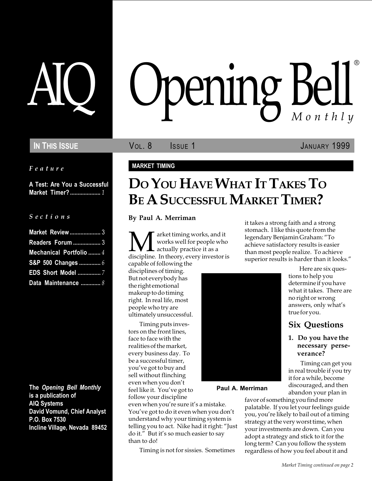Feature

A Test: Are You a Successful Market Timer? .................... 1

### S e c t i o n s

| <b>Market Review </b> 3 |  |
|-------------------------|--|
| <b>Readers Forum  3</b> |  |
| Mechanical Portfolio  4 |  |
| S&P 500 Changes  6      |  |
|                         |  |
| Data Maintenance  8     |  |

The Opening Bell Monthly is a publication of AIQ Systems David Vomund, Chief Analyst P.O. Box 7530 Incline Village, Nevada 89452

# AIQ Opening Bell ®

IN THIS ISSUE VOL. 8 ISSUE 1 JANUARY 1999

### MARKET TIMING

# DO YOU HAVE WHAT IT TAKES TO BE A SUCCESSFUL MARKET TIMER?

By Paul A. Merriman

**M** arket timing works, and it<br>works well for people who<br>discipline. In theory, every investor is works well for people who actually practice it as a capable of following the

disciplines of timing. But not everybody has the right emotional makeup to do timing right. In real life, most people who try are ultimately unsuccessful.

Timing puts investors on the front lines, face to face with the realities of the market, every business day. To be a successful timer, you've got to buy and sell without flinching even when you don't feel like it. You've got to

follow your discipline

than to do!

even when you're sure it's a mistake. You've got to do it even when you don't understand why your timing system is telling you to act. Nike had it right: "Just do it." But it's so much easier to say

Timing is not for sissies. Sometimes



Paul A. Merriman

it takes a strong faith and a strong stomach. I like this quote from the legendary Benjamin Graham: "To achieve satisfactory results is easier than most people realize. To achieve superior results is harder than it looks."

> Here are six questions to help you determine if you have what it takes. There are no right or wrong answers, only what's true for you.

### Six Questions

### 1. Do you have the necessary perseverance?

 Timing can get you in real trouble if you try it for a while, become discouraged, and then abandon your plan in

favor of something you find more palatable. If you let your feelings guide you, you're likely to bail out of a timing strategy at the very worst time, when your investments are down. Can you adopt a strategy and stick to it for the long term? Can you follow the system regardless of how you feel about it and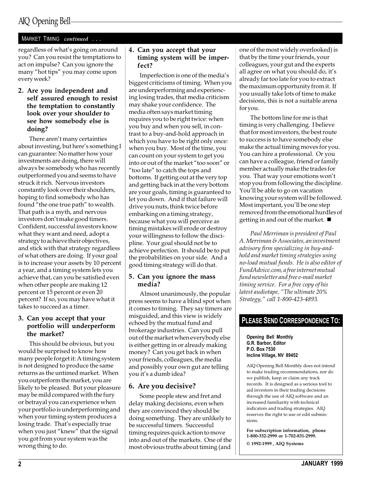### MARKET TIMING continued ...

regardless of what's going on around you? Can you resist the temptations to act on impulse? Can you ignore the many "hot tips" you may come upon every week?

### 2. Are you independent and self assured enough to resist the temptation to constantly look over your shoulder to see how somebody else is doing?

There aren't many certainties about investing, but here's something I can guarantee: No matter how your investments are doing, there will always be somebody who has recently outperformed you and seems to have struck it rich. Nervous investors constantly look over their shoulders, hoping to find somebody who has found "the one true path" to wealth. That path is a myth, and nervous investors don't make good timers. Confident, successful investors know what they want and need, adopt a strategy to achieve their objectives, and stick with that strategy regardless of what others are doing. If your goal is to increase your assets by 10 percent a year, and a timing system lets you achieve that, can you be satisfied even when other people are making 12 percent or 15 percent or even 20 percent? If so, you may have what it takes to succeed as a timer.

### 3. Can you accept that your portfolio will underperform the market?

This should be obvious, but you would be surprised to know how many people forget it: A timing system is not designed to produce the same returns as the untimed market. When you outperform the market, you are likely to be pleased. But your pleasure may be mild compared with the fury or betrayal you can experience when your portfolio is underperforming and when your timing system produces a losing trade. That's especially true when you just "knew" that the signal you got from your system was the wrong thing to do.

### 4. Can you accept that your timing system will be imperfect?

Imperfection is one of the media's biggest criticisms of timing. When you are underperforming and experiencing losing trades, that media criticism may shake your confidence. The media often says market timing requires you to be right twice: when you buy and when you sell, in contrast to a buy-and-hold approach in which you have to be right only once: when you buy. Most of the time, you can count on your system to get you into or out of the market "too soon" or "too late" to catch the tops and bottoms. If getting out at the very top and getting back in at the very bottom are your goals, timing is guaranteed to let you down. And if that failure will drive you nuts, think twice before embarking on a timing strategy, because what you will perceive as timing mistakes will erode or destroy your willingness to follow the discipline. Your goal should not be to achieve perfection. It should be to put the probabilities on your side. And a good timing strategy will do that.

### 5. Can you ignore the mass media?

Almost unanimously, the popular press seems to have a blind spot when it comes to timing. They say timers are misguided, and this view is widely echoed by the mutual fund and brokerage industries. Can you pull out of the market when everybody else is either getting in or already making money? Can you get back in when your friends, colleagues, the media and possibly your own gut are telling you it's a dumb idea?

### 6. Are you decisive?

Some people stew and fret and delay making decisions, even when they are convinced they should be doing something. They are unlikely to be successful timers. Successful timing requires quick action to move into and out of the markets. One of the most obvious truths about timing (and

one of the most widely overlooked) is that by the time your friends, your colleagues, your gut and the experts all agree on what you should do, it's already far too late for you to extract the maximum opportunity from it. If you usually take lots of time to make decisions, this is not a suitable arena for you.

The bottom line for me is that timing is very challenging. I believe that for most investors, the best route to success is to have somebody else make the actual timing moves for you. You can hire a professional. Or you can have a colleague, friend or family member actually make the trades for you. That way your emotions won't stop you from following the discipline. You'll be able to go on vacation knowing your system will be followed. Most important, you'll be one step removed from the emotional hurdles of getting in and out of the market.  $\blacksquare$ 

Paul Merriman is president of Paul A. Merriman & Associates, an investment advisory firm specializing in buy-andhold and market timing strategies using no-load mutual funds. He is also editor of FundAdvice.com, a free internet mutual fund newsletter and free e-mail market timing service. For a free copy of his latest audiotape, "The ultimate 20% Strategy," call 1-800-423-4893.

### PLEASE SEND CORRESPONDENCE TO:

Opening Bell Monthly G.R. Barbor, Editor P.O. Box 7530 Incline Village, NV 89452

AIQ Opening Bell Monthly does not intend to make trading recommendations, nor do we publish, keep or claim any track records. It is designed as a serious tool to aid investors in their trading decisions through the use of AIQ software and an increased familiarity with technical indicators and trading strategies. AIQ reserves the right to use or edit submissions.

For subscription information, phone 1-800-332-2999 or 1-702-831-2999. © 1992-1999 , AIQ Systems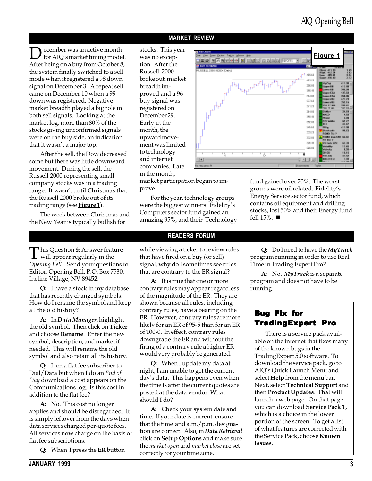### MARKET REVIEW

ecember was an active month for AIQ's market timing model. After being on a buy from October 8, the system finally switched to a sell mode when it registered a 98 down signal on December 3. A repeat sell came on December 10 when a 99 down was registered. Negative market breadth played a big role in both sell signals. Looking at the market log, more than 80% of the stocks giving unconfirmed signals were on the buy side, an indication that it wasn't a major top.

After the sell, the Dow decreased some but there was little downward movement. During the sell, the Russell 2000 representing small company stocks was in a trading range. It wasn't until Christmas that the Russell 2000 broke out of its trading range (see **Figure 1**).

The week between Christmas and the New Year is typically bullish for

stocks. This year was no exception. After the Russell 2000 broke out, market breadth improved and a 96 buy signal was registered on December 29. Early in the month, the upward movement was limited to technology and internet companies. Late in the month,



market participation began to improve.

For the year, technology groups were the biggest winners. Fidelity's Computers sector fund gained an amazing 95%, and their Technology

### Energy Service sector fund, which contains oil equipment and drilling stocks, lost 50% and their Energy fund fell  $15\%$ .  $\blacksquare$

fund gained over 70%. The worst groups were oil related. Fidelity's

 $\prod$  his Question & Answer feature<br>will appear regularly in the<br>Quantize Rell. Send regular questions Opening Bell. Send your questions to Editor, Opening Bell, P.O. Box 7530, Incline Village, NV 89452.

Q: I have a stock in my database that has recently changed symbols. How do I rename the symbol and keep all the old history?

A: In Data Manager, highlight the old symbol. Then click on Ticker and choose Rename. Enter the new symbol, description, and market if needed. This will rename the old symbol and also retain all its history.

Q: I am a flat fee subscriber to Dial/Data but when I do an End of Day download a cost appears on the Communications log. Is this cost in addition to the flat fee?

A: No. This cost no longer applies and should be disregarded. It is simply leftover from the days when data services charged per-quote fees. All services now charge on the basis of flat fee subscriptions.

Q: When I press the ER button

### READERS FORUM

while viewing a ticker to review rules that have fired on a buy (or sell) signal, why do I sometimes see rules that are contrary to the ER signal?

A: It is true that one or more contrary rules may appear regardless of the magnitude of the ER. They are shown because all rules, including contrary rules, have a bearing on the ER. However, contrary rules are more likely for an ER of 95-5 than for an ER of 100-0. In effect, contrary rules downgrade the ER and without the firing of a contrary rule a higher ER would very probably be generated.

Q: When I update my data at night, I am unable to get the current day's data. This happens even when the time is after the current quotes are posted at the data vendor. What should I do?

A: Check your system date and time. If your date is current, ensure that the time and a.m./p.m. designation are correct. Also, in Data Retrieval click on **Setup Options** and make sure the market open and market close are set correctly for your time zone.

Q: Do I need to have the MyTrack program running in order to use Real Time in Trading Expert Pro?

A: No. MyTrack is a separate program and does not have to be running.

### Bug Fix for TradingExpert Pro

There is a service pack available on the internet that fixes many of the known bugs in the TradingExpert 5.0 software. To download the service pack, go to AIQ's Quick Launch Menu and select Help from the menu bar. Next, select Technical Support and then Product Updates. That will launch a web page. On that page you can download Service Pack 1, which is a choice in the lower portion of the screen. To get a list of what features are corrected with the Service Pack, choose Known Issues.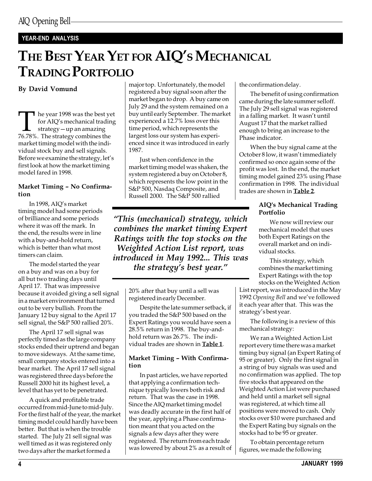### YEAR-END ANALYSIS

# THE BEST YEAR YET FOR AIQ'S MECHANICAL TRADING PORTFOLIO

By David Vomund

The year 1998 was the best yet<br>for AIQ's mechanical trading<br>76.78%. The strategy combines the for AIQ's mechanical trading  $strategy-up$  an amazing market timing model with the individual stock buy and sell signals. Before we examine the strategy, let's first look at how the market timing model fared in 1998.

### Market Timing - No Confirmation

In 1998, AIQ's market timing model had some periods of brilliance and some periods where it was off the mark. In the end, the results were in line with a buy-and-hold return, which is better than what most timers can claim.

The model started the year on a buy and was on a buy for all but two trading days until April 17. That was impressive because it avoided giving a sell signal in a market environment that turned out to be very bullish. From the January 12 buy signal to the April 17 sell signal, the S&P 500 rallied 20%.

The April 17 sell signal was perfectly timed as the large company stocks ended their uptrend and began to move sideways. At the same time, small company stocks entered into a bear market. The April 17 sell signal was registered three days before the Russell 2000 hit its highest level, a level that has yet to be penetrated.

A quick and profitable trade occurred from mid-June to mid-July. For the first half of the year, the market timing model could hardly have been better. But that is when the trouble started. The July 21 sell signal was well timed as it was registered only two days after the market formed a

major top. Unfortunately, the model registered a buy signal soon after the market began to drop. A buy came on July 29 and the system remained on a buy until early September. The market experienced a 12.7% loss over this time period, which represents the largest loss our system has experienced since it was introduced in early 1987.

Just when confidence in the market timing model was shaken, the system registered a buy on October 8, which represents the low point in the S&P 500, Nasdaq Composite, and Russell 2000. The S&P 500 rallied

This (mechanical) strategy, which combines the market timing Expert Ratings with the top stocks on the Weighted Action List report, was introduced in May 1992... This was the strategy's best year."

20% after that buy until a sell was registered in early December.

Despite the late summer setback, if you traded the S&P 500 based on the Expert Ratings you would have seen a 28.5% return in 1998. The buy-andhold return was 26.7%. The individual trades are shown in Table 1.

### Market Timing - With Confirmation

In past articles, we have reported that applying a confirmation technique typically lowers both risk and return. That was the case in 1998. Since the AIQ market timing model was deadly accurate in the first half of the year, applying a Phase confirmation meant that you acted on the signals a few days after they were registered. The return from each trade was lowered by about 2% as a result of the confirmation delay.

The benefit of using confirmation came during the late summer selloff. The July 29 sell signal was registered in a falling market. It wasn't until August 17 that the market rallied enough to bring an increase to the Phase indicator.

When the buy signal came at the October 8 low, it wasn't immediately confirmed so once again some of the profit was lost. In the end, the market timing model gained 23% using Phase confirmation in 1998. The individual trades are shown in Table 2.

### AIQ's Mechanical Trading Portfolio

We now will review our mechanical model that uses both Expert Ratings on the overall market and on individual stocks.

This strategy, which combines the market timing Expert Ratings with the top stocks on the Weighted Action

List report, was introduced in the May 1992 Opening Bell and we've followed it each year after that. This was the strategy's best year.

The following is a review of this mechanical strategy:

We ran a Weighted Action List report every time there was a market timing buy signal (an Expert Rating of 95 or greater). Only the first signal in a string of buy signals was used and no confirmation was applied. The top five stocks that appeared on the Weighted Action List were purchased and held until a market sell signal was registered, at which time all positions were moved to cash. Only stocks over \$10 were purchased and the Expert Rating buy signals on the stocks had to be 95 or greater.

To obtain percentage return figures, we made the following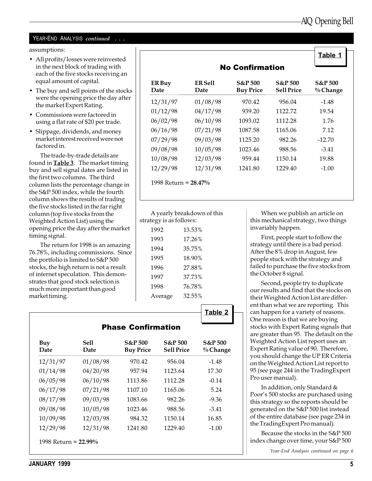### YEAR-END ANALYSIS continued . . .

assumptions:

- All profits/losses were reinvested in the next block of trading with each of the five stocks receiving an equal amount of capital.
- The buy and sell points of the stocks were the opening price the day after the market Expert Rating.
- Commissions were factored in using a flat rate of \$20 per trade.
- Slippage, dividends, and money market interest received were not factored in.

The trade-by-trade details are found in  $Table 3$ . The market timing buy and sell signal dates are listed in the first two columns. The third column lists the percentage change in the S&P 500 index, while the fourth column shows the results of trading the five stocks listed in the far right column (top five stocks from the Weighted Action List) using the opening price the day after the market timing signal.

The return for 1998 is an amazing 76.78%, including commissions. Since the portfolio is limited to S&P 500 stocks, the high return is not a result of internet speculation. This demonstrates that good stock selection is much more important than good market timing.

|                |                        | <b>No Confirmation</b>                 |                                         | Table 1                        |
|----------------|------------------------|----------------------------------------|-----------------------------------------|--------------------------------|
| ER Buy<br>Date | <b>ER Sell</b><br>Date | <b>S&amp;P 500</b><br><b>Buy Price</b> | <b>S&amp;P</b> 500<br><b>Sell Price</b> | <b>S&amp;P 500</b><br>% Change |
| 12/31/97       | 01/08/98               | 970.42                                 | 956.04                                  | $-1.48$                        |
| 01/12/98       | 04/17/98               | 939.20                                 | 1122.72                                 | 19.54                          |
| 06/02/98       | 06/10/98               | 1093.02                                | 1112.28                                 | 1.76                           |
| 06/16/98       | 07/21/98               | 1087.58                                | 1165.06                                 | 7.12                           |
| 07/29/98       | 09/03/98               | 1125.20                                | 982.26                                  | $-12.70$                       |
| 09/08/98       | 10/05/98               | 1023.46                                | 988.56                                  | $-3.41$                        |
| 10/08/98       | 12/03/98               | 959.44                                 | 1150.14                                 | 19.88                          |
| 12/29/98       | 12/31/98               | 1241.80                                | 1229.40                                 | $-1.00$                        |

| A yearly breakdown of this |  |
|----------------------------|--|
| strategy is as follows:    |  |

| 1992    | 13.53% |
|---------|--------|
| 1993    | 17.26% |
| 1994    | 35.75% |
| 1995    | 18.90% |
| 1996    | 27.88% |
| 1997    | 37.73% |
| 1998    | 76.78% |
| Average | 32.55% |
|         |        |

Table 2

| Buy<br>Date | Sell<br>Date | <b>S&amp;P</b> 500<br><b>Buy Price</b> | <b>S&amp;P</b> 500<br><b>Sell Price</b> | <b>S&amp;P</b> 500<br>$\%$ Change |
|-------------|--------------|----------------------------------------|-----------------------------------------|-----------------------------------|
| 12/31/97    | 01/08/98     | 970.42                                 | 956.04                                  | $-1.48$                           |
| 01/14/98    | 04/20/98     | 957.94                                 | 1123.64                                 | 17.30                             |
| 06/05/98    | 06/10/98     | 1113.86                                | 1112.28                                 | $-0.14$                           |
| 06/17/98    | 07/21/98     | 1107.10                                | 1165.06                                 | 5.24                              |
| 08/17/98    | 09/03/98     | 1083.66                                | 982.26                                  | $-9.36$                           |
| 09/08/98    | 10/05/98     | 1023.46                                | 988.56                                  | $-3.41$                           |
| 10/09/98    | 12/03/98     | 984.32                                 | 1150.14                                 | 16.85                             |
| 12/29/98    | 12/31/98     | 1241.80                                | 1229.40                                 | $-1.00$                           |

When we publish an article on this mechanical strategy, two things invariably happen.

First, people start to follow the strategy until there is a bad period. After the 8% drop in August, few people stuck with the strategy and failed to purchase the five stocks from the October 8 signal.

Second, people try to duplicate our results and find that the stocks on their Weighted Action List are different than what we are reporting. This can happen for a variety of reasons. One reason is that we are buying stocks with Expert Rating signals that are greater than 95. The default on the Weighted Action List report uses an Expert Rating value of 90. Therefore, you should change the UP ER Criteria on the Weighted Action List report to 95 (see page 244 in the TradingExpert Pro user manual).

In addition, only Standard & Poor's 500 stocks are purchased using this strategy so the reports should be generated on the S&P 500 list instead of the entire database (see page 234 in the TradingExpert Pro manual).

Because the stocks in the S&P 500 index change over time, your S&P 500

Year-End Analysis continued on page 6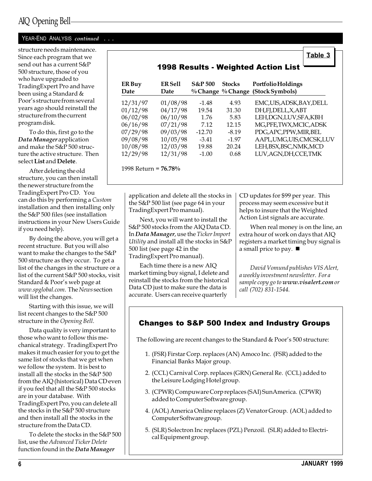### YEAR-END ANALYSIS continued . . .

structure needs maintenance. Since each program that we send out has a current S&P 500 structure, those of you who have upgraded to TradingExpert Pro and have been using a Standard & Poor's structure from several years ago should reinstall the structure from the current program disk.

To do this, first go to the Data Manager application and make the S&P 500 structure the active structure. Then select List and Delete.

After deleting the old structure, you can then install the newer structure from the TradingExpert Pro CD. You can do this by performing a Custom installation and then installing only the S&P 500 files (see installation instructions in your New Users Guide if you need help).

By doing the above, you will get a recent structure. But you will also want to make the changes to the S&P 500 structure as they occur. To get a list of the changes in the structure or a list of the current S&P 500 stocks, visit Standard & Poor's web page at www.spglobal.com. The News section will list the changes.

Starting with this issue, we will list recent changes to the S&P 500 structure in the Opening Bell.

Data quality is very important to those who want to follow this mechanical strategy. TradingExpert Pro makes it much easier for you to get the same list of stocks that we get when we follow the system. It is best to install all the stocks in the S&P 500 from the AIQ (historical) Data CD even if you feel that all the S&P 500 stocks are in your database. With TradingExpert Pro, you can delete all the stocks in the S&P 500 structure and then install all the stocks in the structure from the Data CD.

To delete the stocks in the S&P 500 list, use the Advanced Ticker Delete function found in the Data Manager

|                       |                        |                    |               | <b>1998 Results - Weighted Action List</b>              |
|-----------------------|------------------------|--------------------|---------------|---------------------------------------------------------|
| <b>ER Buy</b><br>Date | <b>ER Sell</b><br>Date | <b>S&amp;P</b> 500 | <b>Stocks</b> | Portfolio Holdings<br>% Change % Change (Stock Symbols) |
| 12/31/97              | 01/08/98               | $-1.48$            | 4.93          | EMC,UIS,ADSK,BAY,DELL                                   |
| 01/12/98              | 04/17/98               | 19.54              | 31.30         | DH,FJ,DELL,X,ABT                                        |
| 06/02/98              | 06/10/98               | 1.76               | 5.83          | LEH, DGN, LUV, SFA, KBH                                 |
| 06/16/98              | 07/21/98               | 7.12               | 12.15         | MG, PFE, TWX, MCIC, ADSK                                |
| 07/29/98              | 09/03/98               | $-12.70$           | $-8.19$       | PDG, APC, PPW, MIR, BEL                                 |
| 09/08/98              | 10/05/98               | $-3.41$            | $-1.97$       | AAPL, UMG, UIS, CMCSK, LUV                              |
| 10/08/98              | 12/03/98               | 19.88              | 20.24         | LEH, BSX, BSC, NMK, MCD                                 |
| 12/29/98              | 12/31/98               | $-1.00$            | 0.68          | LUV, AGN, DH, CCE, TMK                                  |

1998 Return = 76.78%

application and delete all the stocks in the S&P 500 list (see page 64 in your TradingExpert Pro manual).

Next, you will want to install the S&P 500 stocks from the AIQ Data CD. In Data Manager, use the Ticker Import Utility and install all the stocks in S&P 500 list (see page 42 in the TradingExpert Pro manual).

Each time there is a new AIQ market timing buy signal, I delete and reinstall the stocks from the historical Data CD just to make sure the data is accurate. Users can receive quarterly

CD updates for \$99 per year. This process may seem excessive but it helps to insure that the Weighted Action List signals are accurate.

When real money is on the line, an extra hour of work on days that AIQ registers a market timing buy signal is a small price to pay.  $\blacksquare$ 

Table 3

David Vomund publishes VIS Alert, a weekly investment newsletter. For a sample copy go to www.visalert.com or call (702) 831-1544.

### Changes to S&P 500 Index and Industry Groups

The following are recent changes to the Standard & Poor's 500 structure:

- 1. (FSR) Firstar Corp. replaces (AN) Amoco Inc. (FSR) added to the Financial Banks Major group.
- 2. (CCL) Carnival Corp. replaces (GRN) General Re. (CCL) added to the Leisure Lodging Hotel group.
- 3. (CPWR) Compuware Corp replaces (SAI) SunAmerica. (CPWR) added to Computer Software group.
- 4. (AOL) America Online replaces (Z) Venator Group. (AOL) added to Computer Software group.
- 5. (SLR) Solectron Inc replaces (PZL) Penzoil. (SLR) added to Electrical Equipment group.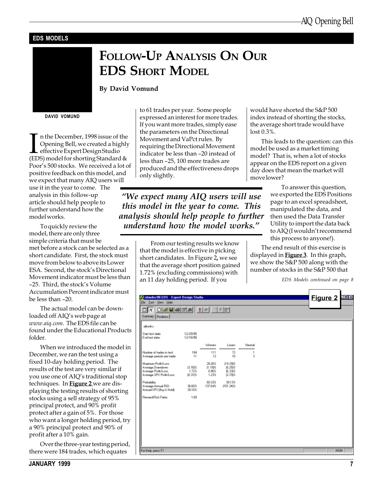### EDS MODELS

# FOLLOW-UP ANALYSIS ON OUR EDS SHORT MODEL

### By David Vomund

DAVID VOMUND

In the December, 1998 issue of the<br>Opening Bell, we created a highly<br>effective Expert Design Studio<br>(EDS) model for shorting Standard & n the December, 1998 issue of the Opening Bell, we created a highly effective Expert Design Studio Poor's 500 stocks. We received a lot of positive feedback on this model, and we expect that many AIQ users will

use it in the year to come. The analysis in this follow-up article should help people to further understand how the model works.

To quickly review the model, there are only three simple criteria that must be met before a stock can be selected as a short candidate. First, the stock must move from below to above its Lower ESA. Second, the stock's Directional Movement indicator must be less than -25. Third, the stock's Volume Accumulation Percent indicator must be less than  $-20$ .

The actual model can be downloaded off AIQ's web page at www.aiq.com. The EDS file can be found under the Educational Products folder.

When we introduced the model in December, we ran the test using a fixed 10-day holding period. The results of the test are very similar if you use one of AIQ's traditional stop techniques. In **Figure 2** we are displaying the testing results of shorting stocks using a sell strategy of 95% principal protect, and 90% profit protect after a gain of 5%. For those who want a longer holding period, try a 90% principal protect and 90% of profit after a 10% gain.

Over the three-year testing period, there were 184 trades, which equates

to 61 trades per year. Some people expressed an interest for more trades. If you want more trades, simply ease the parameters on the Directional Movement and VaPct rules. By requiring the Directional Movement indicator be less than -20 instead of less than -25, 100 more trades are produced and the effectiveness drops only slightly.

We expect many AIQ users will use this model in the year to come. This analysis should help people to further understand how the model works.

> From our testing results we know that the model is effective in picking short candidates. In Figure 2, we see that the average short position gained 1.72% (excluding commissions) with an 11 day holding period. If you

would have shorted the S&P 500 index instead of shorting the stocks, the average short trade would have lost 0.3%.

This leads to the question: can this model be used as a market timing model? That is, when a lot of stocks appear on the EDS report on a given day does that mean the market will move lower?

> To answer this question, we exported the EDS Positions page to an excel spreadsheet, manipulated the data, and then used the Data Transfer Utility to import the data back to AIQ (I wouldn't recommend this process to anyone!).

The end result of this exercise is displayed in  $Figure 3$ . In this graph, we show the S&P 500 along with the number of stocks in the S&P 500 that

EDS Models continued on page 8

| Summary Pasitions<br>alloeder                                                           |                        |                                     |                                         |                                        |  |            |
|-----------------------------------------------------------------------------------------|------------------------|-------------------------------------|-----------------------------------------|----------------------------------------|--|------------|
| Start text date:<br>End test date:                                                      | 12/29/95<br>12/18/98   |                                     |                                         |                                        |  |            |
| Number of tradec in text.<br>Average periods per trade:                                 | 184<br>11              | Weener<br>----------<br>111<br>12   | Longro<br>----------<br>72<br>10        | <b>Nordsal</b><br>----------<br>1<br>3 |  |            |
| Mainun ProBA are<br>Average Drawdown<br>Avesage Profit/Lass<br>Average SPX Profit/Lass: | 13.16は<br>1.72%<br>直対比 | 28.26%<br>11.191%<br>6.98%<br>1.23% | 114.29(%)<br>图 25次<br>BL33(%)<br>12.70は |                                        |  |            |
| Probability:<br>Average Armuel ROE<br>Annual SPK (Buy & Hold):                          | 36.60%<br>30.16%       | 60.33%<br>137.64%                   | 39.13%<br>1151.24(%                     |                                        |  |            |
| Reward/Fisk Ratio:                                                                      | 1.69                   |                                     |                                         |                                        |  |            |
|                                                                                         |                        |                                     |                                         |                                        |  |            |
|                                                                                         |                        |                                     |                                         |                                        |  |            |
| For Help, peace F1                                                                      |                        |                                     |                                         |                                        |  | <b>NUM</b> |